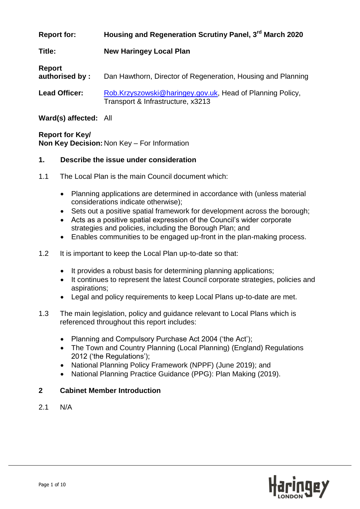| <b>Report for:</b> | Housing and Regeneration Scrutiny Panel, 3 <sup>rd</sup> March 2020 |
|--------------------|---------------------------------------------------------------------|
|--------------------|---------------------------------------------------------------------|

**Title: New Haringey Local Plan**

| Report<br>authorised by: | Dan Hawthorn, Director of Regeneration, Housing and Planning                                   |
|--------------------------|------------------------------------------------------------------------------------------------|
| <b>Lead Officer:</b>     | Rob.Krzyszowski@haringey.gov.uk, Head of Planning Policy,<br>Transport & Infrastructure, x3213 |

**Ward(s) affected:** All

**Report for Key/ Non Key Decision:** Non Key – For Information

## **1. Describe the issue under consideration**

- 1.1 The Local Plan is the main Council document which:
	- Planning applications are determined in accordance with (unless material considerations indicate otherwise);
	- Sets out a positive spatial framework for development across the borough;
	- Acts as a positive spatial expression of the Council"s wider corporate strategies and policies, including the Borough Plan; and
	- Enables communities to be engaged up-front in the plan-making process.
- 1.2 It is important to keep the Local Plan up-to-date so that:
	- It provides a robust basis for determining planning applications;
	- It continues to represent the latest Council corporate strategies, policies and aspirations;
	- Legal and policy requirements to keep Local Plans up-to-date are met.
- 1.3 The main legislation, policy and guidance relevant to Local Plans which is referenced throughout this report includes:
	- Planning and Compulsory Purchase Act 2004 ('the Act');
	- The Town and Country Planning (Local Planning) (England) Regulations 2012 ("the Regulations");
	- National Planning Policy Framework (NPPF) (June 2019); and
	- National Planning Practice Guidance (PPG): Plan Making (2019).

# **2 Cabinet Member Introduction**

2.1 N/A

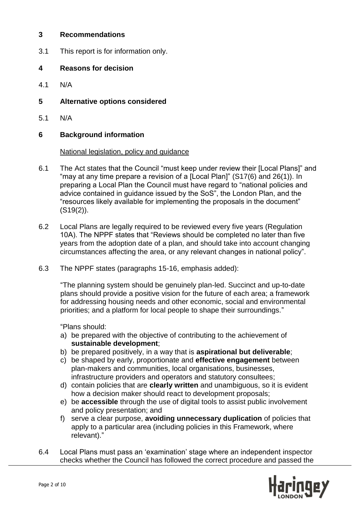## **3 Recommendations**

3.1 This report is for information only.

## **4 Reasons for decision**

4.1 N/A

# **5 Alternative options considered**

5.1 N/A

## **6 Background information**

#### National legislation, policy and guidance

- 6.1 The Act states that the Council "must keep under review their [Local Plans]" and "may at any time prepare a revision of a [Local Plan]" (S17(6) and 26(1)). In preparing a Local Plan the Council must have regard to "national policies and advice contained in guidance issued by the SoS", the London Plan, and the "resources likely available for implementing the proposals in the document" (S19(2)).
- 6.2 Local Plans are legally required to be reviewed every five years (Regulation 10A). The NPPF states that "Reviews should be completed no later than five years from the adoption date of a plan, and should take into account changing circumstances affecting the area, or any relevant changes in national policy".
- 6.3 The NPPF states (paragraphs 15-16, emphasis added):

"The planning system should be genuinely plan-led. Succinct and up-to-date plans should provide a positive vision for the future of each area; a framework for addressing housing needs and other economic, social and environmental priorities; and a platform for local people to shape their surroundings."

"Plans should:

- a) be prepared with the objective of contributing to the achievement of **sustainable development**;
- b) be prepared positively, in a way that is **aspirational but deliverable**;
- c) be shaped by early, proportionate and **effective engagement** between plan-makers and communities, local organisations, businesses, infrastructure providers and operators and statutory consultees;
- d) contain policies that are **clearly written** and unambiguous, so it is evident how a decision maker should react to development proposals;
- e) be **accessible** through the use of digital tools to assist public involvement and policy presentation; and
- f) serve a clear purpose, **avoiding unnecessary duplication** of policies that apply to a particular area (including policies in this Framework, where relevant)."
- 6.4 Local Plans must pass an "examination" stage where an independent inspector checks whether the Council has followed the correct procedure and passed the

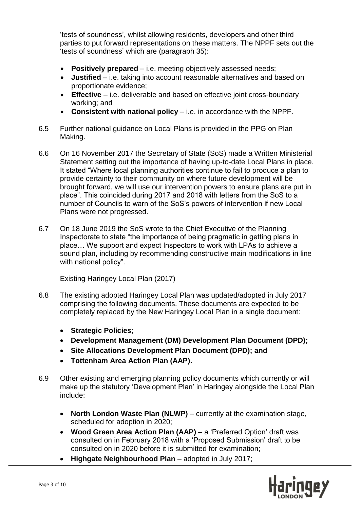"tests of soundness", whilst allowing residents, developers and other third parties to put forward representations on these matters. The NPPF sets out the 'tests of soundness' which are (paragraph 35):

- **Positively prepared** i.e. meeting objectively assessed needs;
- **Justified** i.e. taking into account reasonable alternatives and based on proportionate evidence;
- **Effective** i.e. deliverable and based on effective joint cross-boundary working; and
- **Consistent with national policy** i.e. in accordance with the NPPF.
- 6.5 Further national guidance on Local Plans is provided in the PPG on Plan Making.
- 6.6 On 16 November 2017 the Secretary of State (SoS) made a Written Ministerial Statement setting out the importance of having up-to-date Local Plans in place. It stated "Where local planning authorities continue to fail to produce a plan to provide certainty to their community on where future development will be brought forward, we will use our intervention powers to ensure plans are put in place". This coincided during 2017 and 2018 with letters from the SoS to a number of Councils to warn of the SoS"s powers of intervention if new Local Plans were not progressed.
- 6.7 On 18 June 2019 the SoS wrote to the Chief Executive of the Planning Inspectorate to state "the importance of being pragmatic in getting plans in place… We support and expect Inspectors to work with LPAs to achieve a sound plan, including by recommending constructive main modifications in line with national policy".

## Existing Haringey Local Plan (2017)

- 6.8 The existing adopted Haringey Local Plan was updated/adopted in July 2017 comprising the following documents. These documents are expected to be completely replaced by the New Haringey Local Plan in a single document:
	- **Strategic Policies;**
	- **Development Management (DM) Development Plan Document (DPD);**
	- **Site Allocations Development Plan Document (DPD); and**
	- **Tottenham Area Action Plan (AAP).**
- 6.9 Other existing and emerging planning policy documents which currently or will make up the statutory "Development Plan" in Haringey alongside the Local Plan include:
	- **North London Waste Plan (NLWP)** currently at the examination stage, scheduled for adoption in 2020;
	- **Wood Green Area Action Plan (AAP)** a "Preferred Option" draft was consulted on in February 2018 with a "Proposed Submission" draft to be consulted on in 2020 before it is submitted for examination;
	- **Highgate Neighbourhood Plan** adopted in July 2017;

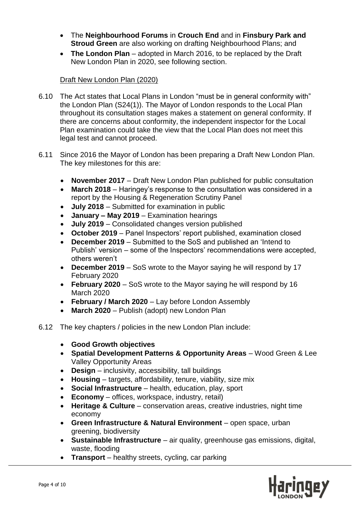- The **Neighbourhood Forums** in **Crouch End** and in **Finsbury Park and Stroud Green** are also working on drafting Neighbourhood Plans; and
- **The London Plan** adopted in March 2016, to be replaced by the Draft New London Plan in 2020, see following section.

## Draft New London Plan (2020)

- 6.10 The Act states that Local Plans in London "must be in general conformity with" the London Plan (S24(1)). The Mayor of London responds to the Local Plan throughout its consultation stages makes a statement on general conformity. If there are concerns about conformity, the independent inspector for the Local Plan examination could take the view that the Local Plan does not meet this legal test and cannot proceed.
- 6.11 Since 2016 the Mayor of London has been preparing a Draft New London Plan. The key milestones for this are:
	- **November 2017** Draft New London Plan published for public consultation
	- **March 2018** Haringey"s response to the consultation was considered in a report by the Housing & Regeneration Scrutiny Panel
	- **July 2018** Submitted for examination in public
	- **January – May 2019** Examination hearings
	- **July 2019** Consolidated changes version published
	- October 2019 Panel Inspectors' report published, examination closed
	- **December 2019** Submitted to the SoS and published an "Intend to Publish' version – some of the Inspectors' recommendations were accepted, others weren"t
	- **December 2019** SoS wrote to the Mayor saying he will respond by 17 February 2020
	- **February 2020**  SoS wrote to the Mayor saying he will respond by 16 March 2020
	- **February / March 2020** Lay before London Assembly
	- **March 2020** Publish (adopt) new London Plan
- 6.12 The key chapters / policies in the new London Plan include:
	- **Good Growth objectives**
	- **Spatial Development Patterns & Opportunity Areas** Wood Green & Lee Valley Opportunity Areas
	- **Design** inclusivity, accessibility, tall buildings
	- **Housing** targets, affordability, tenure, viability, size mix
	- **Social Infrastructure** health, education, play, sport
	- **Economy** offices, workspace, industry, retail)
	- **Heritage & Culture** conservation areas, creative industries, night time economy
	- **Green Infrastructure & Natural Environment** open space, urban greening, biodiversity
	- **Sustainable Infrastructure** air quality, greenhouse gas emissions, digital, waste, flooding
	- **Transport** healthy streets, cycling, car parking

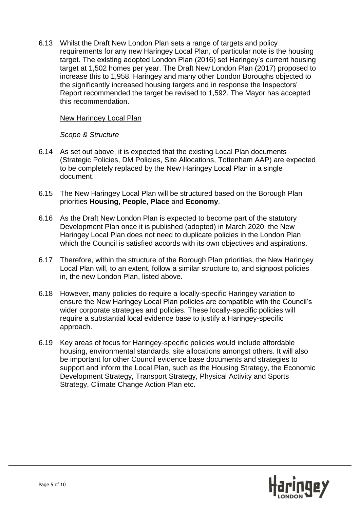6.13 Whilst the Draft New London Plan sets a range of targets and policy requirements for any new Haringey Local Plan, of particular note is the housing target. The existing adopted London Plan (2016) set Haringey"s current housing target at 1,502 homes per year. The Draft New London Plan (2017) proposed to increase this to 1,958. Haringey and many other London Boroughs objected to the significantly increased housing targets and in response the Inspectors" Report recommended the target be revised to 1,592. The Mayor has accepted this recommendation.

#### New Haringey Local Plan

#### *Scope & Structure*

- 6.14 As set out above, it is expected that the existing Local Plan documents (Strategic Policies, DM Policies, Site Allocations, Tottenham AAP) are expected to be completely replaced by the New Haringey Local Plan in a single document.
- 6.15 The New Haringey Local Plan will be structured based on the Borough Plan priorities **Housing**, **People**, **Place** and **Economy**.
- 6.16 As the Draft New London Plan is expected to become part of the statutory Development Plan once it is published (adopted) in March 2020, the New Haringey Local Plan does not need to duplicate policies in the London Plan which the Council is satisfied accords with its own objectives and aspirations.
- 6.17 Therefore, within the structure of the Borough Plan priorities, the New Haringey Local Plan will, to an extent, follow a similar structure to, and signpost policies in, the new London Plan, listed above.
- 6.18 However, many policies do require a locally-specific Haringey variation to ensure the New Haringey Local Plan policies are compatible with the Council"s wider corporate strategies and policies. These locally-specific policies will require a substantial local evidence base to justify a Haringey-specific approach.
- 6.19 Key areas of focus for Haringey-specific policies would include affordable housing, environmental standards, site allocations amongst others. It will also be important for other Council evidence base documents and strategies to support and inform the Local Plan, such as the Housing Strategy, the Economic Development Strategy, Transport Strategy, Physical Activity and Sports Strategy, Climate Change Action Plan etc.

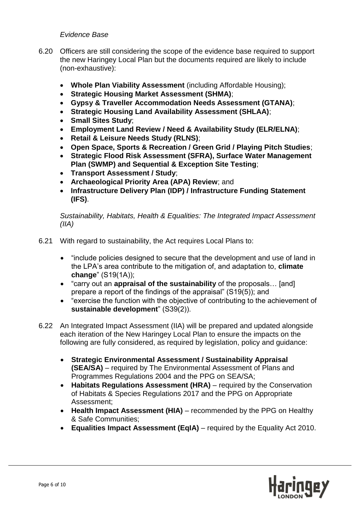#### *Evidence Base*

- 6.20 Officers are still considering the scope of the evidence base required to support the new Haringey Local Plan but the documents required are likely to include (non-exhaustive):
	- **Whole Plan Viability Assessment** (including Affordable Housing);
	- **Strategic Housing Market Assessment (SHMA)**;
	- **Gypsy & Traveller Accommodation Needs Assessment (GTANA)**;
	- **Strategic Housing Land Availability Assessment (SHLAA)**;
	- **Small Sites Study**;
	- **Employment Land Review / Need & Availability Study (ELR/ELNA)**;
	- **Retail & Leisure Needs Study (RLNS)**;
	- **Open Space, Sports & Recreation / Green Grid / Playing Pitch Studies**;
	- **Strategic Flood Risk Assessment (SFRA), Surface Water Management Plan (SWMP) and Sequential & Exception Site Testing**;
	- **Transport Assessment / Study**;
	- **Archaeological Priority Area (APA) Review**; and
	- **Infrastructure Delivery Plan (IDP) / Infrastructure Funding Statement (IFS)**.

*Sustainability, Habitats, Health & Equalities: The Integrated Impact Assessment (IIA)*

- 6.21 With regard to sustainability, the Act requires Local Plans to:
	- "include policies designed to secure that the development and use of land in the LPA"s area contribute to the mitigation of, and adaptation to, **climate change**" (S19(1A));
	- "carry out an **appraisal of the sustainability** of the proposals… [and] prepare a report of the findings of the appraisal" (S19(5)); and
	- "exercise the function with the objective of contributing to the achievement of **sustainable development**" (S39(2)).
- 6.22 An Integrated Impact Assessment (IIA) will be prepared and updated alongside each iteration of the New Haringey Local Plan to ensure the impacts on the following are fully considered, as required by legislation, policy and guidance:
	- **Strategic Environmental Assessment / Sustainability Appraisal (SEA/SA)** – required by The Environmental Assessment of Plans and Programmes Regulations 2004 and the PPG on SEA/SA;
	- **Habitats Regulations Assessment (HRA)** required by the Conservation of Habitats & Species Regulations 2017 and the PPG on Appropriate Assessment;
	- Health Impact Assessment (HIA) recommended by the PPG on Healthy & Safe Communities;
	- **Equalities Impact Assessment (EqIA)**  required by the Equality Act 2010.

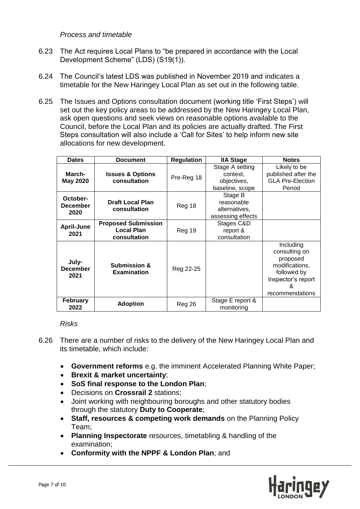*Process and timetable*

- 6.23 The Act requires Local Plans to "be prepared in accordance with the Local Development Scheme" (LDS) (S19(1)).
- 6.24 The Council"s latest LDS was published in November 2019 and indicates a timetable for the New Haringey Local Plan as set out in the following table.
- 6.25 The Issues and Options consultation document (working title "First Steps") will set out the key policy areas to be addressed by the New Haringey Local Plan, ask open questions and seek views on reasonable options available to the Council, before the Local Plan and its policies are actually drafted. The First Steps consultation will also include a 'Call for Sites' to help inform new site allocations for new development.

| <b>Dates</b>                        | <b>Document</b>                                                 | <b>Regulation</b> | <b>IIA Stage</b>                                              | <b>Notes</b>                                                                                                          |
|-------------------------------------|-----------------------------------------------------------------|-------------------|---------------------------------------------------------------|-----------------------------------------------------------------------------------------------------------------------|
| March-<br><b>May 2020</b>           | <b>Issues &amp; Options</b><br>consultation                     | Pre-Reg 18        | Stage A setting<br>context.<br>objectives,<br>baseline, scope | Likely to be<br>published after the<br><b>GLA Pre-Election</b><br>Period                                              |
| October-<br><b>December</b><br>2020 | <b>Draft Local Plan</b><br>consultation                         | Reg 18            | Stage B<br>reasonable<br>alternatives,<br>assessing effects   |                                                                                                                       |
| <b>April-June</b><br>2021           | <b>Proposed Submission</b><br><b>Local Plan</b><br>consultation | Reg 19            | Stages C&D<br>report &<br>consultation                        |                                                                                                                       |
| July-<br><b>December</b><br>2021    | <b>Submission &amp;</b><br><b>Examination</b>                   | Reg 22-25         |                                                               | Including<br>consulting on<br>proposed<br>modifications,<br>followed by<br>Inspector's report<br>&<br>recommendations |
| <b>February</b><br>2022             | <b>Adoption</b>                                                 | Reg 26            | Stage E report &<br>monitoring                                |                                                                                                                       |

## *Risks*

- 6.26 There are a number of risks to the delivery of the New Haringey Local Plan and its timetable, which include:
	- **Government reforms** e.g. the imminent Accelerated Planning White Paper;
	- **Brexit & market uncertainty**;
	- **SoS final response to the London Plan**;
	- Decisions on **Crossrail 2** stations;
	- Joint working with neighbouring boroughs and other statutory bodies through the statutory **Duty to Cooperate**;
	- **Staff, resources & competing work demands** on the Planning Policy Team;
	- **Planning Inspectorate** resources, timetabling & handling of the examination;
	- **Conformity with the NPPF & London Plan**; and

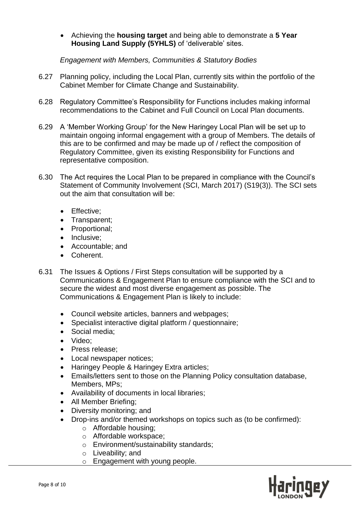Achieving the **housing target** and being able to demonstrate a **5 Year Housing Land Supply (5YHLS)** of "deliverable" sites.

*Engagement with Members, Communities & Statutory Bodies*

- 6.27 Planning policy, including the Local Plan, currently sits within the portfolio of the Cabinet Member for Climate Change and Sustainability.
- 6.28 Regulatory Committee"s Responsibility for Functions includes making informal recommendations to the Cabinet and Full Council on Local Plan documents.
- 6.29 A "Member Working Group" for the New Haringey Local Plan will be set up to maintain ongoing informal engagement with a group of Members. The details of this are to be confirmed and may be made up of / reflect the composition of Regulatory Committee, given its existing Responsibility for Functions and representative composition.
- 6.30 The Act requires the Local Plan to be prepared in compliance with the Council"s Statement of Community Involvement (SCI, March 2017) (S19(3)). The SCI sets out the aim that consultation will be:
	- Effective:
	- Transparent;
	- Proportional:
	- Inclusive:
	- Accountable; and
	- Coherent.
- 6.31 The Issues & Options / First Steps consultation will be supported by a Communications & Engagement Plan to ensure compliance with the SCI and to secure the widest and most diverse engagement as possible. The Communications & Engagement Plan is likely to include:
	- Council website articles, banners and webpages;
	- Specialist interactive digital platform / questionnaire;
	- Social media;
	- Video:
	- Press release:
	- Local newspaper notices;
	- Haringey People & Haringey Extra articles;
	- Emails/letters sent to those on the Planning Policy consultation database, Members, MPs;
	- Availability of documents in local libraries;
	- All Member Briefing;
	- Diversity monitoring; and
	- Drop-ins and/or themed workshops on topics such as (to be confirmed):
		- o Affordable housing;
		- o Affordable workspace;
		- o Environment/sustainability standards;
		- o Liveability; and
		- o Engagement with young people.

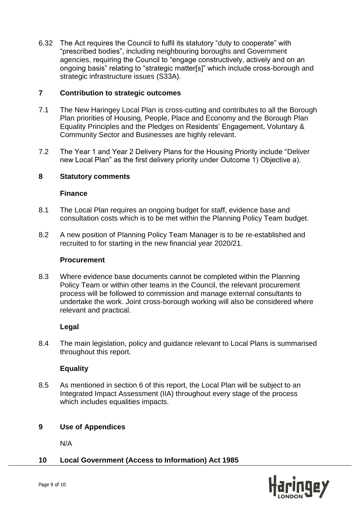6.32 The Act requires the Council to fulfil its statutory "duty to cooperate" with "prescribed bodies", including neighbouring boroughs and Government agencies, requiring the Council to "engage constructively, actively and on an ongoing basis" relating to "strategic matter[s]" which include cross-borough and strategic infrastructure issues (S33A).

## **7 Contribution to strategic outcomes**

- 7.1 The New Haringey Local Plan is cross-cutting and contributes to all the Borough Plan priorities of Housing, People, Place and Economy and the Borough Plan Equality Principles and the Pledges on Residents" Engagement, Voluntary & Community Sector and Businesses are highly relevant.
- 7.2 The Year 1 and Year 2 Delivery Plans for the Housing Priority include "Deliver new Local Plan" as the first delivery priority under Outcome 1) Objective a).

## **8 Statutory comments**

## **Finance**

- 8.1 The Local Plan requires an ongoing budget for staff, evidence base and consultation costs which is to be met within the Planning Policy Team budget.
- 8.2 A new position of Planning Policy Team Manager is to be re-established and recruited to for starting in the new financial year 2020/21.

#### **Procurement**

8.3 Where evidence base documents cannot be completed within the Planning Policy Team or within other teams in the Council, the relevant procurement process will be followed to commission and manage external consultants to undertake the work. Joint cross-borough working will also be considered where relevant and practical.

## **Legal**

8.4 The main legislation, policy and guidance relevant to Local Plans is summarised throughout this report.

## **Equality**

8.5 As mentioned in section 6 of this report, the Local Plan will be subject to an Integrated Impact Assessment (IIA) throughout every stage of the process which includes equalities impacts.

## **9 Use of Appendices**

N/A

## **10 Local Government (Access to Information) Act 1985**